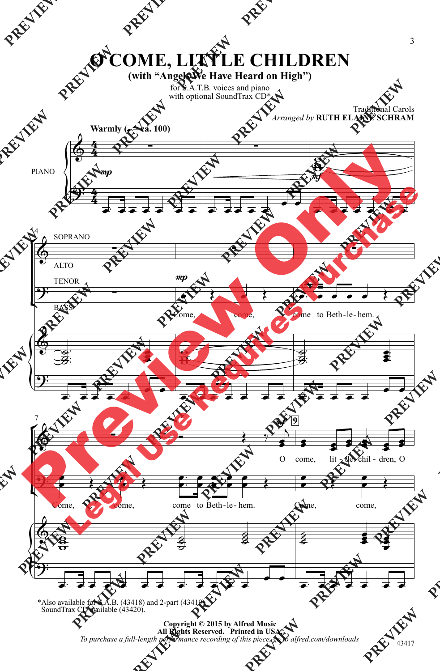## **O COME, LITTLE CHILDREN**

**(with "Angels We Have Heard on High")**

for S.A.T.B. voices and piano with optional SoundTrax CD\*



\*Also available for S.A.B. (43418) and 2-part (43419). SoundTrax CD available (43420).

Traditional Carols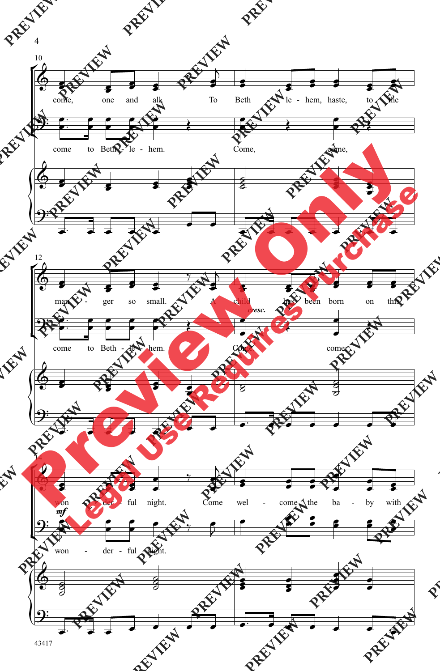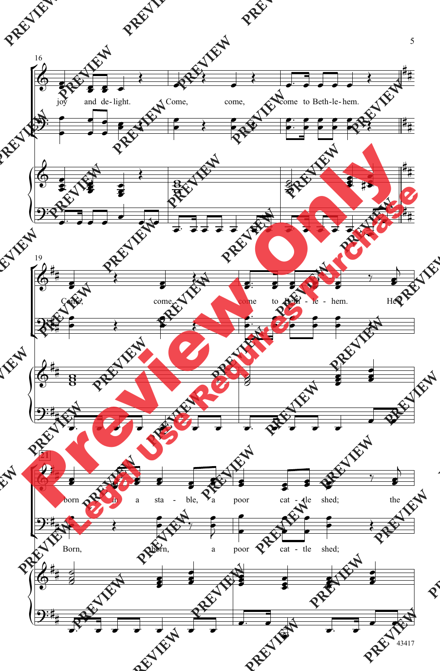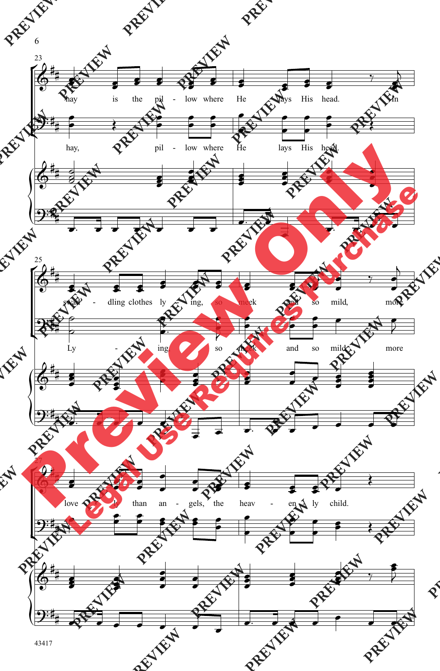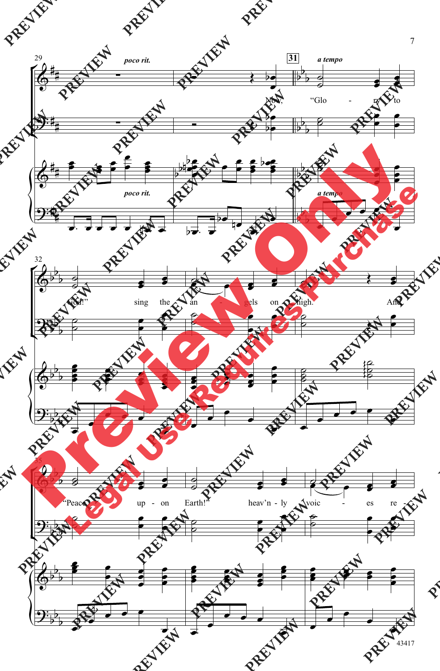

7

43417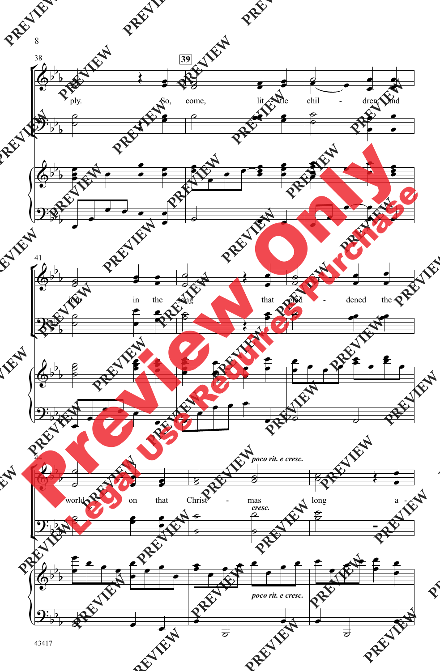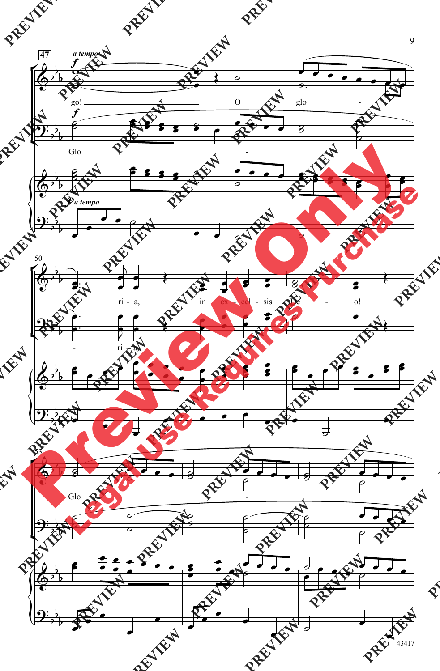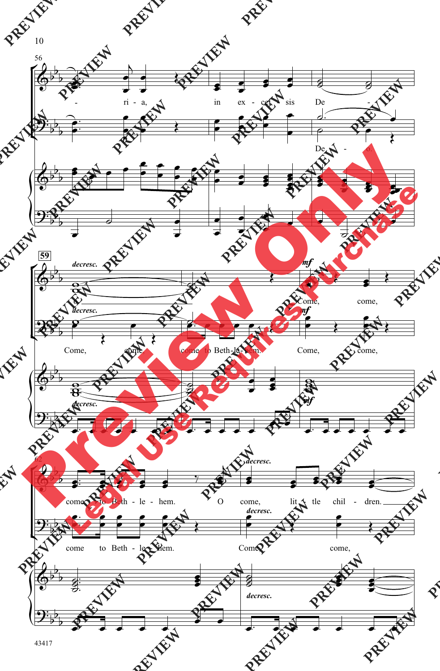

10